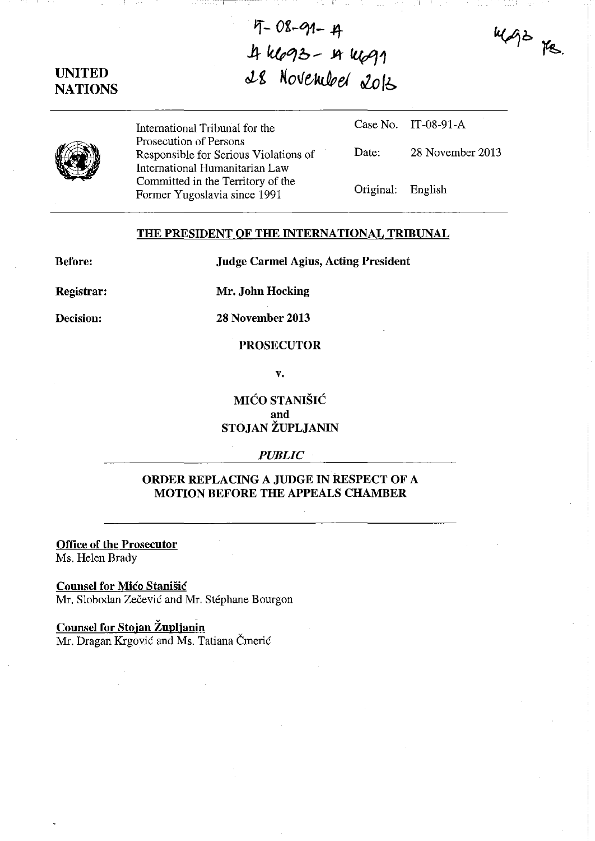## **UNITED NATIONS**

# **'1-** Of~q1-.I1- 4 k693 - 4 k691 **oLg Nove"kJpet** ~ **Ib**



International Tribunal for the Prosecution of Persons Responsible for Serious Violations of International Humanitarian Law Committed in the Territory of the Former Yugoslavia since 1991

Date: 28 November 2013

mage pe.

Case No. IT-08-91-A

Original: English

#### **THE PRESIDENT OF THE INTERNATIONAL TRIBUNAL**

**Before:** 

**Judge Carmel Agius, Acting President** 

**Registrar:** 

**Mr. John Hocking** 

**Decision:** 

**28 November 2013** 

#### **PROSECUTOR**

**v.** 

**MIĆO STANIŠIĆ and STOJAN ZUPLJANIN** 

#### *PUBLIC*

## **ORDER REPLACING A JUDGE IN RESPECT OF A MOTION BEFORE THE APPEALS CHAMBER**

**Office of the Prosecutor**  Ms. Helen Brady

**Counsel for Mico Stanišic** Mr. Slobodan Zečević and Mr. Stéphane Bourgon

### **Counsel for Stojan Zuplianln**  Mr. Dragan Krgović and Ms. Tatiana Čmerić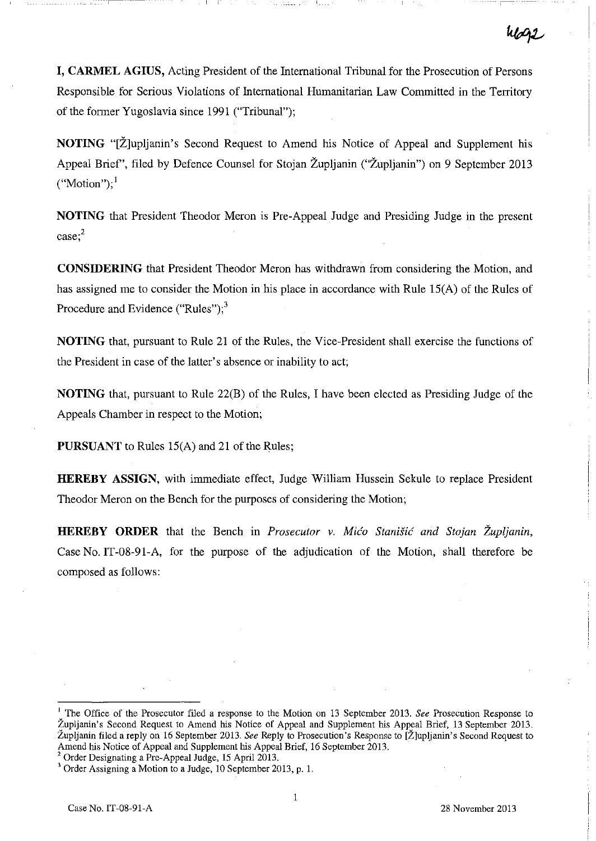**I, CARMEL AGIUS,** Acting President of the International Tribunal for the Prosecution of Persons Responsible for Serious Violations of International Humanitarian Law Committed in the Territory of the former Yugoslavia since 1991 ("Tribunal");

**NOTING** "[Z]upljanin's Second Request to Amend his Notice of Appeal and Supplement his Appeal Brief', filed by Defence Counsel for Stojan Zupljanin ("Zupljanin") on 9 September 2013  $("Motion";<sup>1</sup>$ 

**NOTING** that President Theodor Meron is Pre-Appeal Judge and Presiding Judge in the present **case;2** 

**CONSIDERING** that President Theodor Meron has withdrawn from considering the Motion, and has assigned me to consider the Motion in his place in accordance with Rule IS(A) of the Rules of Procedure and Evidence ("Rules"); $<sup>3</sup>$ </sup>

**NOTING** that, pursuant to Rule 21 of the Rules, the Vice-President shall exercise the functions of the President in case of the latter's absence or inability to act;

**NOTING** that, pursuant to Rule 22(B) of the Rules, I have been elected as Presiding Judge of the Appeals Chamber in respect to the Motion;

**PURSUANT** to Rules 15(A) and 21 of the Rules;

**HEREBY ASSIGN,** with immediate effect, Judge William Hussein Sekule to replace President Theodor Meron on the Bench for the purposes of considering the Motion;

**HEREBY ORDER** that the Bench in *Prosecutor v. Mico Stanisic and Stojan Zupijanin,*  Case No. IT-08-91-A, for the purpose of the adjudication of the Motion, shall therefore be composed as follows:

2 Order Designating a Pre-Appeal Judge, 15 April 2013.

<sup>&</sup>lt;sup>1</sup> The Office of the Prosecutor filed a response to the Motion on 13 September 2013. *See* Prosecution Response to Župljanin's Second Request to Amend his Notice of Appeal and Supplement his Appeal Brief, 13 September 2013. Zupljanin filed a reply on 16 September 2013. *See* Reply to Prosecution's Response to [Z]upljanin's Second Request to Amend his Notice of Appeal and Supplement his Appeal Brief, 16 September 2013.

 $3$  Order Assigning a Motion to a Judge, 10 September 2013, p. 1.